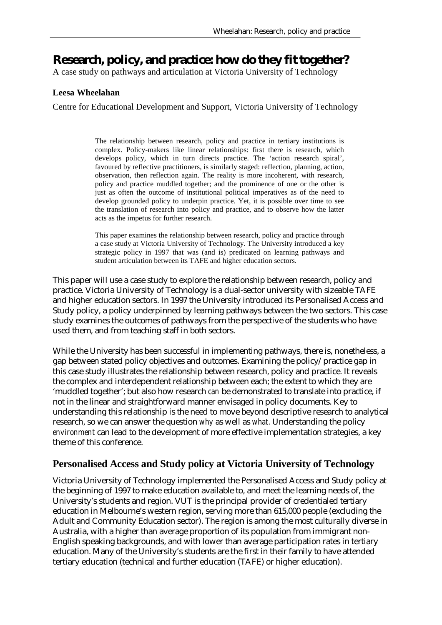# **Research, policy, and practice: how do they fit together?**

A case study on pathways and articulation at Victoria University of Technology

#### **Leesa Wheelahan**

Centre for Educational Development and Support, Victoria University of Technology

The relationship between research, policy and practice in tertiary institutions is complex. Policy-makers like linear relationships: first there is research, which develops policy, which in turn directs practice. The 'action research spiral', favoured by reflective practitioners, is similarly staged: reflection, planning, action, observation, then reflection again. The reality is more incoherent, with research, policy and practice muddled together; and the prominence of one or the other is just as often the outcome of institutional political imperatives as of the need to develop grounded policy to underpin practice. Yet, it is possible over time to see the translation of research into policy and practice, and to observe how the latter acts as the impetus for further research.

This paper examines the relationship between research, policy and practice through a case study at Victoria University of Technology. The University introduced a key strategic policy in 1997 that was (and is) predicated on learning pathways and student articulation between its TAFE and higher education sectors.

This paper will use a case study to explore the relationship between research, policy and practice. Victoria University of Technology is a dual-sector university with sizeable TAFE and higher education sectors. In 1997 the University introduced its Personalised Access and Study policy, a policy underpinned by learning pathways between the two sectors. This case study examines the outcomes of pathways from the perspective of the students who have used them, and from teaching staff in both sectors.

While the University has been successful in implementing pathways, there is, nonetheless, a gap between stated policy objectives and outcomes. Examining the policy/practice gap in this case study illustrates the relationship between research, policy and practice. It reveals the complex and interdependent relationship between each; the extent to which they are 'muddled together'; but also how research *can* be demonstrated to translate into practice, if not in the linear and straightforward manner envisaged in policy documents. Key to understanding this relationship is the need to move beyond descriptive research to analytical research, so we can answer the question *why* as well as *what.* Understanding the policy *environment* can lead to the development of more effective implementation strategies, a key theme of this conference.

## **Personalised Access and Study policy at Victoria University of Technology**

Victoria University of Technology implemented the Personalised Access and Study policy at the beginning of 1997 to make education available to, and meet the learning needs of, the University's students and region. VUT is the principal provider of credentialed tertiary education in Melbourne's western region, serving more than 615,000 people (excluding the Adult and Community Education sector). The region is among the most culturally diverse in Australia, with a higher than average proportion of its population from immigrant non-English speaking backgrounds, and with lower than average participation rates in tertiary education. Many of the University's students are the first in their family to have attended tertiary education (technical and further education (TAFE) or higher education).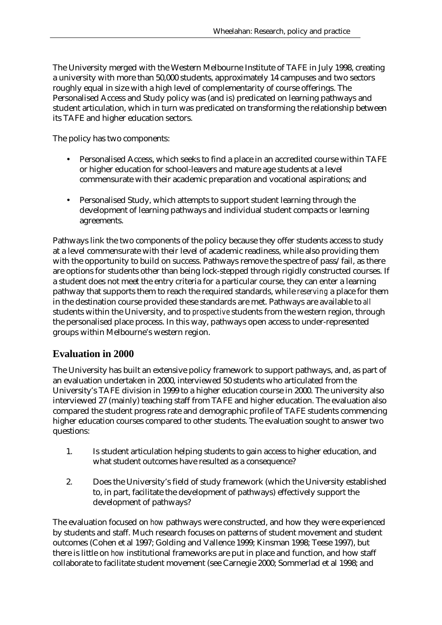The University merged with the Western Melbourne Institute of TAFE in July 1998, creating a university with more than 50,000 students, approximately 14 campuses and two sectors roughly equal in size with a high level of complementarity of course offerings. The Personalised Access and Study policy was (and is) predicated on learning pathways and student articulation, which in turn was predicated on transforming the relationship between its TAFE and higher education sectors.

The policy has two components:

- Personalised Access, which seeks to find a place in an accredited course within TAFE or higher education for school-leavers and mature age students at a level commensurate with their academic preparation and vocational aspirations; and
- Personalised Study, which attempts to support student learning through the development of learning pathways and individual student compacts or learning agreements.

Pathways link the two components of the policy because they offer students access to study at a level commensurate with their level of academic readiness, while also providing them with the opportunity to build on success. Pathways remove the spectre of pass/fail, as there are options for students other than being lock-stepped through rigidly constructed courses. If a student does not meet the entry criteria for a particular course, they can enter a learning pathway that supports them to reach the required standards, while *reserving* a place for them in the destination course provided these standards are met. Pathways are available to *all* students within the University, and to *prospective* students from the western region, through the personalised place process. In this way, pathways open access to under-represented groups within Melbourne's western region.

## **Evaluation in 2000**

The University has built an extensive policy framework to support pathways, and, as part of an evaluation undertaken in 2000, interviewed 50 students who articulated from the University's TAFE division in 1999 to a higher education course in 2000. The university also interviewed 27 (mainly) teaching staff from TAFE and higher education. The evaluation also compared the student progress rate and demographic profile of TAFE students commencing higher education courses compared to other students. The evaluation sought to answer two questions:

- 1. Is student articulation helping students to gain access to higher education, and what student outcomes have resulted as a consequence?
- 2. Does the University's field of study framework (which the University established to, in part, facilitate the development of pathways) effectively support the development of pathways?

The evaluation focused on *how* pathways were constructed, and how they were experienced by students and staff. Much research focuses on patterns of student movement and student outcomes (Cohen et al 1997; Golding and Vallence 1999; Kinsman 1998; Teese 1997), but there is little on *how* institutional frameworks are put in place and function, and how staff collaborate to facilitate student movement (see Carnegie 2000; Sommerlad et al 1998; and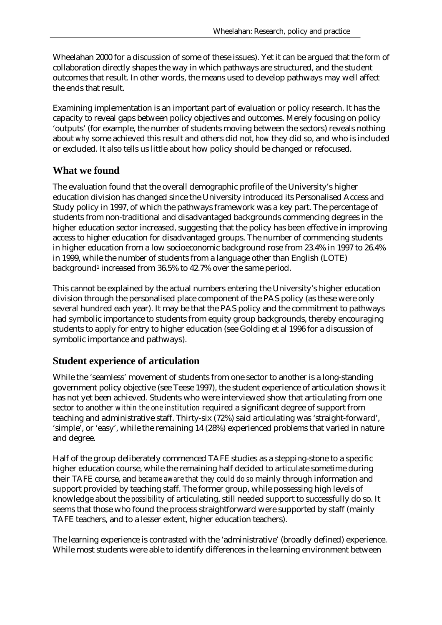Wheelahan 2000 for a discussion of some of these issues). Yet it can be argued that the *form* of collaboration directly shapes the way in which pathways are structured, and the student outcomes that result. In other words, the means used to develop pathways may well affect the ends that result.

Examining implementation is an important part of evaluation or policy research. It has the capacity to reveal gaps between policy objectives and outcomes. Merely focusing on policy 'outputs' (for example, the number of students moving between the sectors) reveals nothing about *why* some achieved this result and others did not, *how* they did so, and who is included or excluded. It also tells us little about how policy should be changed or refocused.

# **What we found**

The evaluation found that the overall demographic profile of the University's higher education division has changed since the University introduced its Personalised Access and Study policy in 1997, of which the pathways framework was a key part. The percentage of students from non-traditional and disadvantaged backgrounds commencing degrees in the higher education sector increased, suggesting that the policy has been effective in improving access to higher education for disadvantaged groups. The number of commencing students in higher education from a low socioeconomic background rose from 23.4% in 1997 to 26.4% in 1999, while the number of students from a language other than English (LOTE) background<sup>1</sup> increased from 36.5% to 42.7% over the same period.

This cannot be explained by the actual numbers entering the University's higher education division through the personalised place component of the PAS policy (as these were only several hundred each year). It may be that the PAS policy and the commitment to pathways had symbolic importance to students from equity group backgrounds, thereby encouraging students to apply for entry to higher education (see Golding et al 1996 for a discussion of symbolic importance and pathways).

# **Student experience of articulation**

While the 'seamless' movement of students from one sector to another is a long-standing government policy objective (see Teese 1997), the student experience of articulation shows it has not yet been achieved. Students who were interviewed show that articulating from one sector to another *within the one institution* required a significant degree of support from teaching and administrative staff. Thirty-six (72%) said articulating was 'straight-forward', 'simple', or 'easy', while the remaining 14 (28%) experienced problems that varied in nature and degree.

Half of the group deliberately commenced TAFE studies as a stepping-stone to a specific higher education course, while the remaining half decided to articulate sometime during their TAFE course, and *became aware that they could do so* mainly through information and support provided by teaching staff. The former group, while possessing high levels of knowledge about the *possibility* of articulating, still needed support to successfully do so. It seems that those who found the process straightforward were supported by staff (mainly TAFE teachers, and to a lesser extent, higher education teachers).

The learning experience is contrasted with the 'administrative' (broadly defined) experience. While most students were able to identify differences in the learning environment between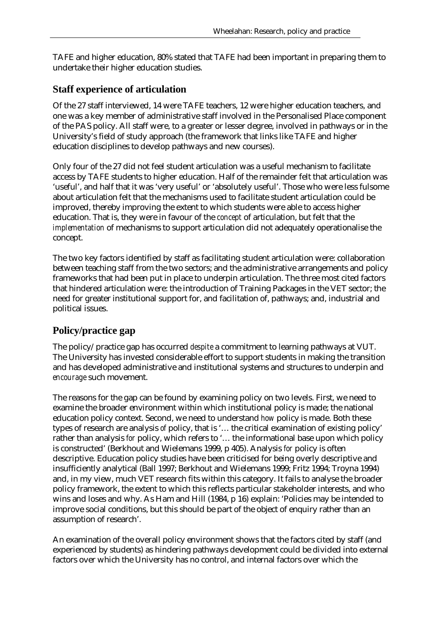TAFE and higher education, 80% stated that TAFE had been important in preparing them to undertake their higher education studies.

## **Staff experience of articulation**

Of the 27 staff interviewed, 14 were TAFE teachers, 12 were higher education teachers, and one was a key member of administrative staff involved in the Personalised Place component of the PAS policy. All staff were, to a greater or lesser degree, involved in pathways or in the University's field of study approach (the framework that links like TAFE and higher education disciplines to develop pathways and new courses).

Only four of the 27 did not feel student articulation was a useful mechanism to facilitate access by TAFE students to higher education. Half of the remainder felt that articulation was 'useful', and half that it was 'very useful' or 'absolutely useful'. Those who were less fulsome about articulation felt that the mechanisms used to facilitate student articulation could be improved, thereby improving the extent to which students were able to access higher education. That is, they were in favour of the *concept* of articulation, but felt that the *implementation* of mechanisms to support articulation did not adequately operationalise the concept.

The two key factors identified by staff as facilitating student articulation were: collaboration between teaching staff from the two sectors; and the administrative arrangements and policy frameworks that had been put in place to underpin articulation. The three most cited factors that hindered articulation were: the introduction of Training Packages in the VET sector; the need for greater institutional support for, and facilitation of, pathways; and, industrial and political issues.

# **Policy/practice gap**

The policy/practice gap has occurred *despite* a commitment to learning pathways at VUT. The University has invested considerable effort to support students in making the transition and has developed administrative and institutional systems and structures to underpin and *encourage* such movement.

The reasons for the gap can be found by examining policy on two levels. First, we need to examine the broader environment within which institutional policy is made; the national education policy context. Second, we need to understand *how* policy is made. Both these types of research are analysis *of* policy, that is '… the critical examination of existing policy' rather than analysis *for* policy, which refers to '… the informational base upon which policy is constructed' (Berkhout and Wielemans 1999, p 405). Analysis *for* policy is often descriptive. Education policy studies have been criticised for being overly descriptive and insufficiently analytical (Ball 1997; Berkhout and Wielemans 1999; Fritz 1994; Troyna 1994) and, in my view, much VET research fits within this category. It fails to analyse the broader policy framework, the extent to which this reflects particular stakeholder interests, and who wins and loses and why. As Ham and Hill (1984, p 16) explain: 'Policies may be intended to improve social conditions, but this should be part of the object of enquiry rather than an assumption of research'.

An examination of the overall policy environment shows that the factors cited by staff (and experienced by students) as hindering pathways development could be divided into external factors over which the University has no control, and internal factors over which the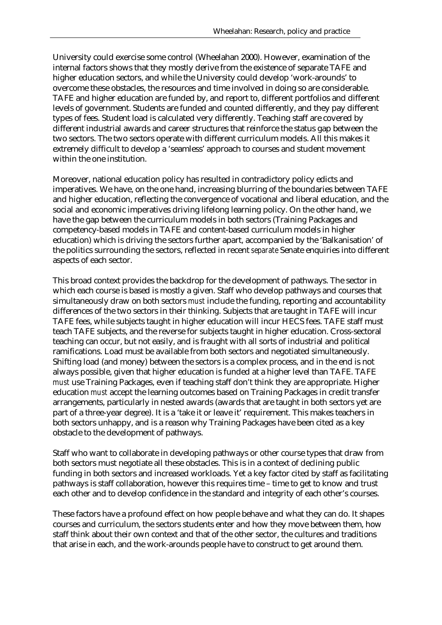University could exercise some control (Wheelahan 2000). However, examination of the internal factors shows that they mostly derive from the existence of separate TAFE and higher education sectors, and while the University could develop 'work-arounds' to overcome these obstacles, the resources and time involved in doing so are considerable. TAFE and higher education are funded by, and report to, different portfolios and different levels of government. Students are funded and counted differently, and they pay different types of fees. Student load is calculated very differently. Teaching staff are covered by different industrial awards and career structures that reinforce the status gap between the two sectors. The two sectors operate with different curriculum models. All this makes it extremely difficult to develop a 'seamless' approach to courses and student movement within the one institution.

Moreover, national education policy has resulted in contradictory policy edicts and imperatives. We have, on the one hand, increasing blurring of the boundaries between TAFE and higher education, reflecting the convergence of vocational and liberal education, and the social and economic imperatives driving lifelong learning policy. On the other hand, we have the gap between the curriculum models in both sectors (Training Packages and competency-based models in TAFE and content-based curriculum models in higher education) which is driving the sectors further apart, accompanied by the 'Balkanisation' of the politics surrounding the sectors, reflected in recent *separate* Senate enquiries into different aspects of each sector.

This broad context provides the backdrop for the development of pathways. The sector in which each course is based is mostly a given. Staff who develop pathways and courses that simultaneously draw on both sectors *must* include the funding, reporting and accountability differences of the two sectors in their thinking. Subjects that are taught in TAFE will incur TAFE fees, while subjects taught in higher education will incur HECS fees. TAFE staff must teach TAFE subjects, and the reverse for subjects taught in higher education. Cross-sectoral teaching can occur, but not easily, and is fraught with all sorts of industrial and political ramifications. Load must be available from both sectors and negotiated simultaneously. Shifting load (and money) between the sectors is a complex process, and in the end is not always possible, given that higher education is funded at a higher level than TAFE. TAFE *must* use Training Packages, even if teaching staff don't think they are appropriate. Higher education *must* accept the learning outcomes based on Training Packages in credit transfer arrangements, particularly in nested awards (awards that are taught in both sectors yet are part of a three-year degree). It is a 'take it or leave it' requirement. This makes teachers in both sectors unhappy, and is a reason why Training Packages have been cited as a key obstacle to the development of pathways.

Staff who want to collaborate in developing pathways or other course types that draw from both sectors must negotiate all these obstacles. This is in a context of declining public funding in both sectors and increased workloads. Yet a key factor cited by staff as facilitating pathways is staff collaboration, however this requires time – time to get to know and trust each other and to develop confidence in the standard and integrity of each other's courses.

These factors have a profound effect on how people behave and what they can do. It shapes courses and curriculum, the sectors students enter and how they move between them, how staff think about their own context and that of the other sector, the cultures and traditions that arise in each, and the work-arounds people have to construct to get around them.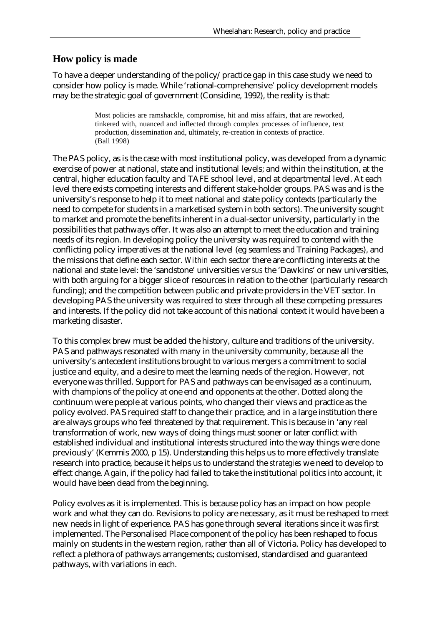## **How policy is made**

To have a deeper understanding of the policy/practice gap in this case study we need to consider how policy is made. While 'rational-comprehensive' policy development models may be the strategic goal of government (Considine, 1992), the reality is that:

> Most policies are ramshackle, compromise, hit and miss affairs, that are reworked, tinkered with, nuanced and inflected through complex processes of influence, text production, dissemination and, ultimately, re-creation in contexts of practice. (Ball 1998)

The PAS policy, as is the case with most institutional policy, was developed from a dynamic exercise of power at national, state and institutional levels; and within the institution, at the central, higher education faculty and TAFE school level, and at departmental level. At each level there exists competing interests and different stake-holder groups. PAS was and is the university's response to help it to meet national and state policy contexts (particularly the need to compete for students in a marketised system in both sectors). The university sought to market and promote the benefits inherent in a dual-sector university, particularly in the possibilities that pathways offer. It was also an attempt to meet the education and training needs of its region. In developing policy the university was required to contend with the conflicting policy imperatives at the national level (eg seamless *and* Training Packages), and the missions that define each sector. *Within* each sector there are conflicting interests at the national and state level: the 'sandstone' universities *versus* the 'Dawkins' or new universities, with both arguing for a bigger slice of resources in relation to the other (particularly research funding); and the competition between public and private providers in the VET sector. In developing PAS the university was required to steer through all these competing pressures and interests. If the policy did not take account of this national context it would have been a marketing disaster.

To this complex brew must be added the history, culture and traditions of the university. PAS and pathways resonated with many in the university community, because all the university's antecedent institutions brought to various mergers a commitment to social justice and equity, and a desire to meet the learning needs of the region. However, not everyone was thrilled. Support for PAS and pathways can be envisaged as a continuum, with champions of the policy at one end and opponents at the other. Dotted along the continuum were people at various points, who changed their views and practice as the policy evolved. PAS required staff to change their practice, and in a large institution there are always groups who feel threatened by that requirement. This is because in 'any real transformation of work, new ways of doing things must sooner or later conflict with established individual and institutional interests structured into the way things were done previously' (Kemmis 2000, p 15). Understanding this helps us to more effectively translate research into practice, because it helps us to understand the *strategies* we need to develop to effect change. Again, if the policy had failed to take the institutional politics into account, it would have been dead from the beginning.

Policy evolves as it is implemented. This is because policy has an impact on how people work and what they can do. Revisions to policy are necessary, as it must be reshaped to meet new needs in light of experience. PAS has gone through several iterations since it was first implemented. The Personalised Place component of the policy has been reshaped to focus mainly on students in the western region, rather than all of Victoria. Policy has developed to reflect a plethora of pathways arrangements; customised, standardised and guaranteed pathways, with variations in each.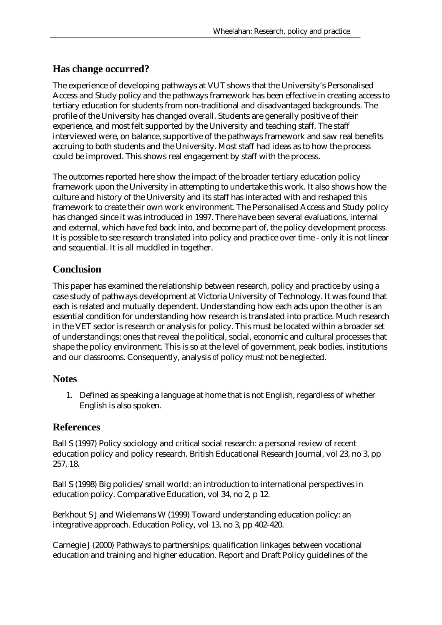## **Has change occurred?**

The experience of developing pathways at VUT shows that the University's Personalised Access and Study policy and the pathways framework has been effective in creating access to tertiary education for students from non-traditional and disadvantaged backgrounds. The profile of the University has changed overall. Students are generally positive of their experience, and most felt supported by the University and teaching staff. The staff interviewed were, on balance, supportive of the pathways framework and saw real benefits accruing to both students and the University. Most staff had ideas as to how the process could be improved. This shows real engagement by staff with the process.

The outcomes reported here show the impact of the broader tertiary education policy framework upon the University in attempting to undertake this work. It also shows how the culture and history of the University and its staff has interacted with and reshaped this framework to create their own work environment. The Personalised Access and Study policy has changed since it was introduced in 1997. There have been several evaluations, internal and external, which have fed back into, and become part of, the policy development process. It is possible to see research translated into policy and practice over time - only it is not linear and sequential. It is all muddled in together.

## **Conclusion**

This paper has examined the relationship between research, policy and practice by using a case study of pathways development at Victoria University of Technology. It was found that each is related and mutually dependent. Understanding how each acts upon the other is an essential condition for understanding how research is translated into practice. Much research in the VET sector is research or analysis *for* policy. This must be located within a broader set of understandings; ones that reveal the political, social, economic and cultural processes that shape the policy environment. This is so at the level of government, peak bodies, institutions and our classrooms. Consequently, analysis *of* policy must not be neglected.

#### **Notes**

1. Defined as speaking a language at home that is not English, regardless of whether English is also spoken.

## **References**

Ball S (1997) Policy sociology and critical social research: a personal review of recent education policy and policy research. British Educational Research Journal, vol 23, no 3, pp 257, 18.

Ball S (1998) Big policies/small world: an introduction to international perspectives in education policy. Comparative Education, vol 34, no 2, p 12.

Berkhout S J and Wielemans W (1999) Toward understanding education policy: an integrative approach. Education Policy, vol 13, no 3, pp 402-420.

Carnegie J (2000) Pathways to partnerships: qualification linkages between vocational education and training and higher education. Report and Draft Policy guidelines of the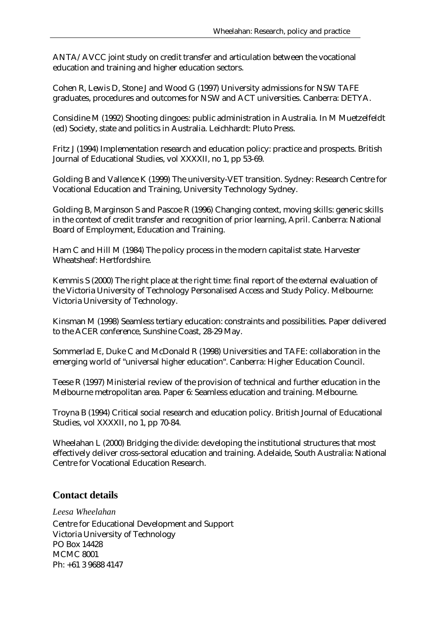ANTA/AVCC joint study on credit transfer and articulation between the vocational education and training and higher education sectors.

Cohen R, Lewis D, Stone J and Wood G (1997) University admissions for NSW TAFE graduates, procedures and outcomes for NSW and ACT universities. Canberra: DETYA.

Considine M (1992) Shooting dingoes: public administration in Australia. In M Muetzelfeldt (ed) Society, state and politics in Australia. Leichhardt: Pluto Press.

Fritz J (1994) Implementation research and education policy: practice and prospects. British Journal of Educational Studies, vol XXXXII, no 1, pp 53-69.

Golding B and Vallence K (1999) The university-VET transition. Sydney: Research Centre for Vocational Education and Training, University Technology Sydney.

Golding B, Marginson S and Pascoe R (1996) Changing context, moving skills: generic skills in the context of credit transfer and recognition of prior learning, April. Canberra: National Board of Employment, Education and Training.

Ham C and Hill M (1984) The policy process in the modern capitalist state. Harvester Wheatsheaf: Hertfordshire.

Kemmis S (2000) The right place at the right time: final report of the external evaluation of the Victoria University of Technology Personalised Access and Study Policy. Melbourne: Victoria University of Technology.

Kinsman M (1998) Seamless tertiary education: constraints and possibilities. Paper delivered to the ACER conference, Sunshine Coast, 28-29 May.

Sommerlad E, Duke C and McDonald R (1998) Universities and TAFE: collaboration in the emerging world of "universal higher education". Canberra: Higher Education Council.

Teese R (1997) Ministerial review of the provision of technical and further education in the Melbourne metropolitan area. Paper 6: Seamless education and training. Melbourne.

Troyna B (1994) Critical social research and education policy. British Journal of Educational Studies, vol XXXXII, no 1, pp 70-84.

Wheelahan L (2000) Bridging the divide: developing the institutional structures that most effectively deliver cross-sectoral education and training. Adelaide, South Australia: National Centre for Vocational Education Research.

# **Contact details**

*Leesa Wheelahan* 

Centre for Educational Development and Support Victoria University of Technology PO Box 14428 MCMC 8001 Ph: +61 3 9688 4147